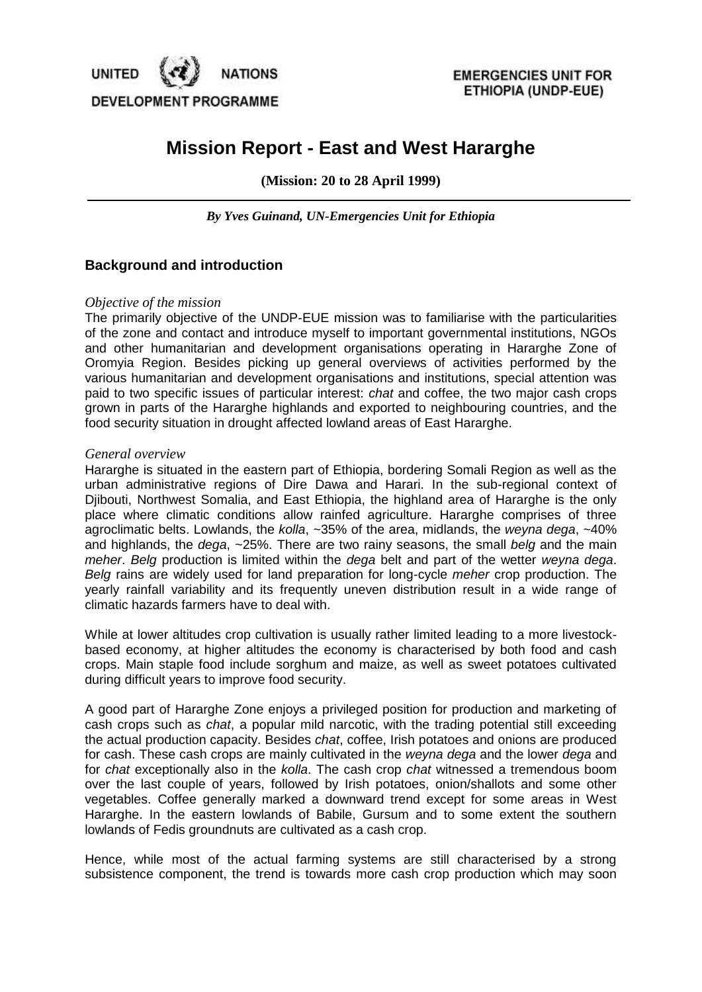

# **Mission Report - East and West Hararghe**

**(Mission: 20 to 28 April 1999)**

*By Yves Guinand, UN-Emergencies Unit for Ethiopia*

### **Background and introduction**

#### *Objective of the mission*

The primarily objective of the UNDP-EUE mission was to familiarise with the particularities of the zone and contact and introduce myself to important governmental institutions, NGOs and other humanitarian and development organisations operating in Hararghe Zone of Oromyia Region. Besides picking up general overviews of activities performed by the various humanitarian and development organisations and institutions, special attention was paid to two specific issues of particular interest: *chat* and coffee, the two major cash crops grown in parts of the Hararghe highlands and exported to neighbouring countries, and the food security situation in drought affected lowland areas of East Hararghe.

#### *General overview*

Hararghe is situated in the eastern part of Ethiopia, bordering Somali Region as well as the urban administrative regions of Dire Dawa and Harari. In the sub-regional context of Djibouti, Northwest Somalia, and East Ethiopia, the highland area of Hararghe is the only place where climatic conditions allow rainfed agriculture. Hararghe comprises of three agroclimatic belts. Lowlands, the *kolla*, ~35% of the area, midlands, the *weyna dega*, ~40% and highlands, the *dega*, ~25%. There are two rainy seasons, the small *belg* and the main *meher*. *Belg* production is limited within the *dega* belt and part of the wetter *weyna dega*. *Belg* rains are widely used for land preparation for long-cycle *meher* crop production. The yearly rainfall variability and its frequently uneven distribution result in a wide range of climatic hazards farmers have to deal with.

While at lower altitudes crop cultivation is usually rather limited leading to a more livestockbased economy, at higher altitudes the economy is characterised by both food and cash crops. Main staple food include sorghum and maize, as well as sweet potatoes cultivated during difficult years to improve food security.

A good part of Hararghe Zone enjoys a privileged position for production and marketing of cash crops such as *chat*, a popular mild narcotic, with the trading potential still exceeding the actual production capacity. Besides *chat*, coffee, Irish potatoes and onions are produced for cash. These cash crops are mainly cultivated in the *weyna dega* and the lower *dega* and for *chat* exceptionally also in the *kolla*. The cash crop *chat* witnessed a tremendous boom over the last couple of years, followed by Irish potatoes, onion/shallots and some other vegetables. Coffee generally marked a downward trend except for some areas in West Hararghe. In the eastern lowlands of Babile, Gursum and to some extent the southern lowlands of Fedis groundnuts are cultivated as a cash crop.

Hence, while most of the actual farming systems are still characterised by a strong subsistence component, the trend is towards more cash crop production which may soon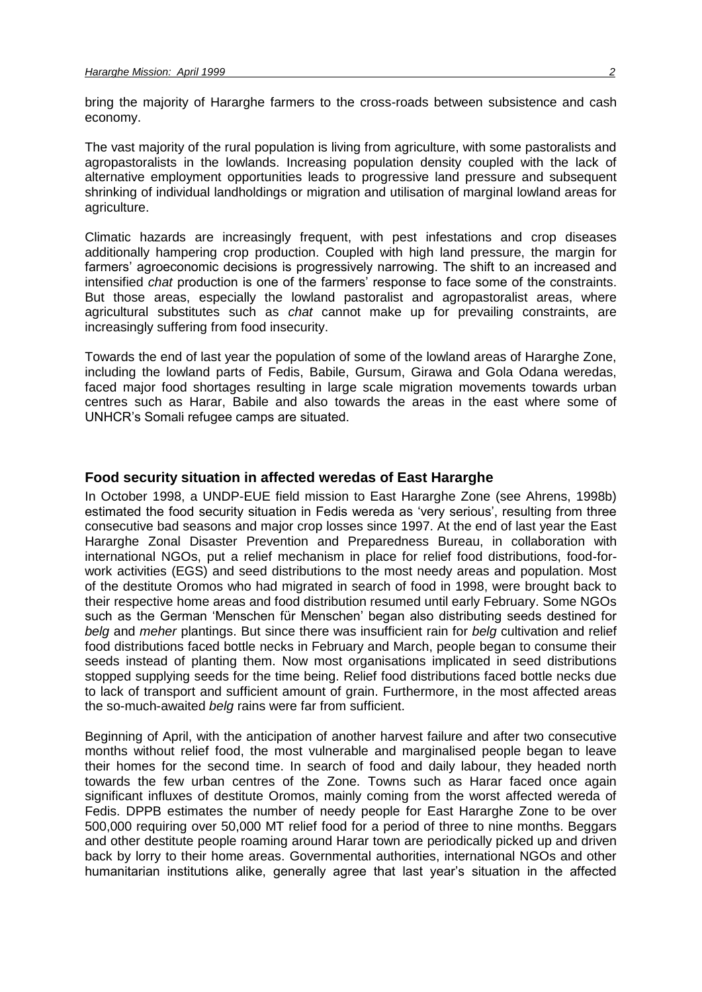bring the majority of Hararghe farmers to the cross-roads between subsistence and cash economy.

The vast majority of the rural population is living from agriculture, with some pastoralists and agropastoralists in the lowlands. Increasing population density coupled with the lack of alternative employment opportunities leads to progressive land pressure and subsequent shrinking of individual landholdings or migration and utilisation of marginal lowland areas for agriculture.

Climatic hazards are increasingly frequent, with pest infestations and crop diseases additionally hampering crop production. Coupled with high land pressure, the margin for farmers' agroeconomic decisions is progressively narrowing. The shift to an increased and intensified *chat* production is one of the farmers' response to face some of the constraints. But those areas, especially the lowland pastoralist and agropastoralist areas, where agricultural substitutes such as *chat* cannot make up for prevailing constraints, are increasingly suffering from food insecurity.

Towards the end of last year the population of some of the lowland areas of Hararghe Zone, including the lowland parts of Fedis, Babile, Gursum, Girawa and Gola Odana weredas, faced major food shortages resulting in large scale migration movements towards urban centres such as Harar, Babile and also towards the areas in the east where some of UNHCR's Somali refugee camps are situated.

#### **Food security situation in affected weredas of East Hararghe**

In October 1998, a UNDP-EUE field mission to East Hararghe Zone (see Ahrens, 1998b) estimated the food security situation in Fedis wereda as 'very serious', resulting from three consecutive bad seasons and major crop losses since 1997. At the end of last year the East Hararghe Zonal Disaster Prevention and Preparedness Bureau, in collaboration with international NGOs, put a relief mechanism in place for relief food distributions, food-forwork activities (EGS) and seed distributions to the most needy areas and population. Most of the destitute Oromos who had migrated in search of food in 1998, were brought back to their respective home areas and food distribution resumed until early February. Some NGOs such as the German 'Menschen für Menschen' began also distributing seeds destined for *belg* and *meher* plantings. But since there was insufficient rain for *belg* cultivation and relief food distributions faced bottle necks in February and March, people began to consume their seeds instead of planting them. Now most organisations implicated in seed distributions stopped supplying seeds for the time being. Relief food distributions faced bottle necks due to lack of transport and sufficient amount of grain. Furthermore, in the most affected areas the so-much-awaited *belg* rains were far from sufficient.

Beginning of April, with the anticipation of another harvest failure and after two consecutive months without relief food, the most vulnerable and marginalised people began to leave their homes for the second time. In search of food and daily labour, they headed north towards the few urban centres of the Zone. Towns such as Harar faced once again significant influxes of destitute Oromos, mainly coming from the worst affected wereda of Fedis. DPPB estimates the number of needy people for East Hararghe Zone to be over 500,000 requiring over 50,000 MT relief food for a period of three to nine months. Beggars and other destitute people roaming around Harar town are periodically picked up and driven back by lorry to their home areas. Governmental authorities, international NGOs and other humanitarian institutions alike, generally agree that last year's situation in the affected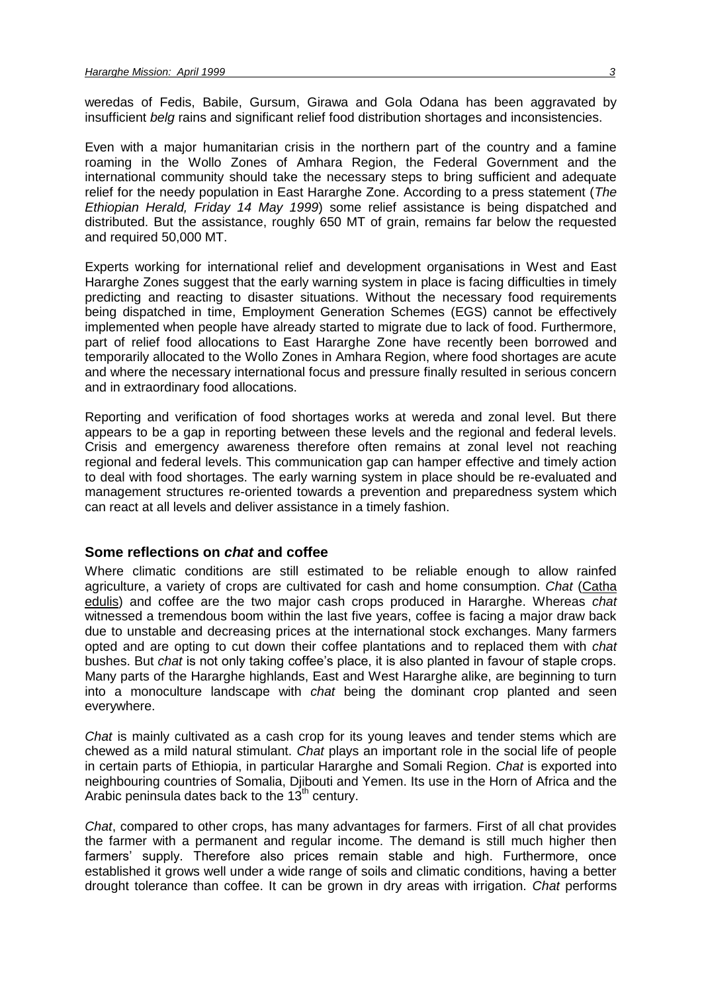weredas of Fedis, Babile, Gursum, Girawa and Gola Odana has been aggravated by insufficient *belg* rains and significant relief food distribution shortages and inconsistencies.

Even with a major humanitarian crisis in the northern part of the country and a famine roaming in the Wollo Zones of Amhara Region, the Federal Government and the international community should take the necessary steps to bring sufficient and adequate relief for the needy population in East Hararghe Zone. According to a press statement (*The Ethiopian Herald, Friday 14 May 1999*) some relief assistance is being dispatched and distributed. But the assistance, roughly 650 MT of grain, remains far below the requested and required 50,000 MT.

Experts working for international relief and development organisations in West and East Hararghe Zones suggest that the early warning system in place is facing difficulties in timely predicting and reacting to disaster situations. Without the necessary food requirements being dispatched in time, Employment Generation Schemes (EGS) cannot be effectively implemented when people have already started to migrate due to lack of food. Furthermore, part of relief food allocations to East Hararghe Zone have recently been borrowed and temporarily allocated to the Wollo Zones in Amhara Region, where food shortages are acute and where the necessary international focus and pressure finally resulted in serious concern and in extraordinary food allocations.

Reporting and verification of food shortages works at wereda and zonal level. But there appears to be a gap in reporting between these levels and the regional and federal levels. Crisis and emergency awareness therefore often remains at zonal level not reaching regional and federal levels. This communication gap can hamper effective and timely action to deal with food shortages. The early warning system in place should be re-evaluated and management structures re-oriented towards a prevention and preparedness system which can react at all levels and deliver assistance in a timely fashion.

#### **Some reflections on** *chat* **and coffee**

Where climatic conditions are still estimated to be reliable enough to allow rainfed agriculture, a variety of crops are cultivated for cash and home consumption. *Chat* (Catha edulis) and coffee are the two major cash crops produced in Hararghe. Whereas *chat* witnessed a tremendous boom within the last five years, coffee is facing a major draw back due to unstable and decreasing prices at the international stock exchanges. Many farmers opted and are opting to cut down their coffee plantations and to replaced them with *chat* bushes. But *chat* is not only taking coffee's place, it is also planted in favour of staple crops. Many parts of the Hararghe highlands, East and West Hararghe alike, are beginning to turn into a monoculture landscape with *chat* being the dominant crop planted and seen everywhere.

*Chat* is mainly cultivated as a cash crop for its young leaves and tender stems which are chewed as a mild natural stimulant. *Chat* plays an important role in the social life of people in certain parts of Ethiopia, in particular Hararghe and Somali Region. *Chat* is exported into neighbouring countries of Somalia, Djibouti and Yemen. Its use in the Horn of Africa and the Arabic peninsula dates back to the  $13<sup>th</sup>$  century.

*Chat*, compared to other crops, has many advantages for farmers. First of all chat provides the farmer with a permanent and regular income. The demand is still much higher then farmers' supply. Therefore also prices remain stable and high. Furthermore, once established it grows well under a wide range of soils and climatic conditions, having a better drought tolerance than coffee. It can be grown in dry areas with irrigation. *Chat* performs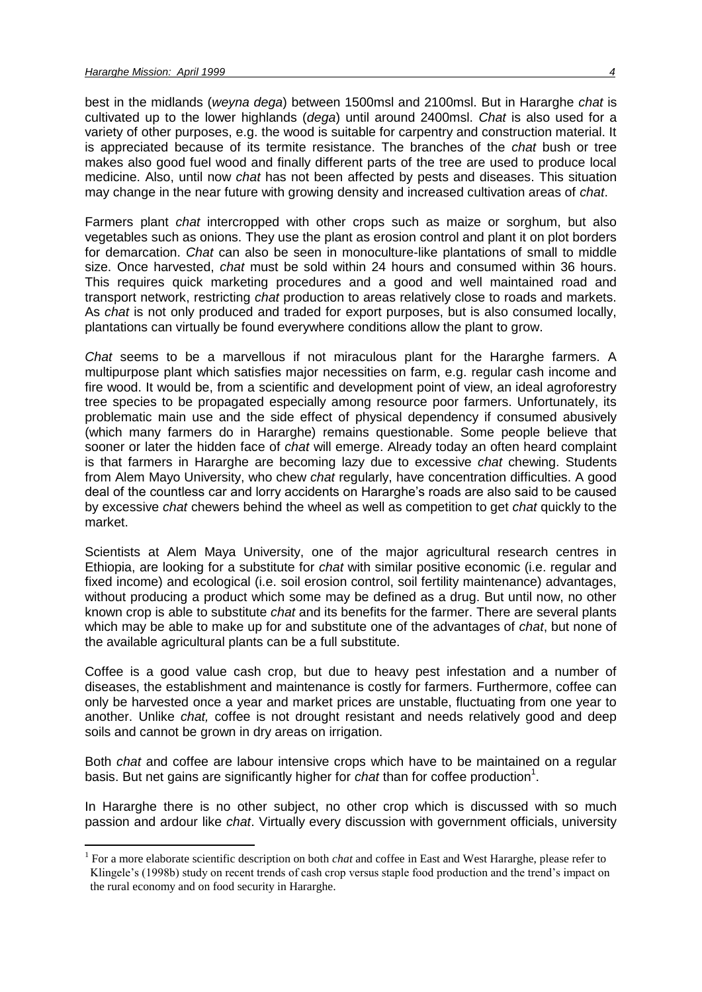1

best in the midlands (*weyna dega*) between 1500msl and 2100msl. But in Hararghe *chat* is cultivated up to the lower highlands (*dega*) until around 2400msl. *Chat* is also used for a variety of other purposes, e.g. the wood is suitable for carpentry and construction material. It is appreciated because of its termite resistance. The branches of the *chat* bush or tree makes also good fuel wood and finally different parts of the tree are used to produce local medicine. Also, until now *chat* has not been affected by pests and diseases. This situation may change in the near future with growing density and increased cultivation areas of *chat*.

Farmers plant *chat* intercropped with other crops such as maize or sorghum, but also vegetables such as onions. They use the plant as erosion control and plant it on plot borders for demarcation. *Chat* can also be seen in monoculture-like plantations of small to middle size. Once harvested, *chat* must be sold within 24 hours and consumed within 36 hours. This requires quick marketing procedures and a good and well maintained road and transport network, restricting *chat* production to areas relatively close to roads and markets. As *chat* is not only produced and traded for export purposes, but is also consumed locally, plantations can virtually be found everywhere conditions allow the plant to grow.

*Chat* seems to be a marvellous if not miraculous plant for the Hararghe farmers. A multipurpose plant which satisfies major necessities on farm, e.g. regular cash income and fire wood. It would be, from a scientific and development point of view, an ideal agroforestry tree species to be propagated especially among resource poor farmers. Unfortunately, its problematic main use and the side effect of physical dependency if consumed abusively (which many farmers do in Hararghe) remains questionable. Some people believe that sooner or later the hidden face of *chat* will emerge. Already today an often heard complaint is that farmers in Hararghe are becoming lazy due to excessive *chat* chewing. Students from Alem Mayo University, who chew *chat* regularly, have concentration difficulties. A good deal of the countless car and lorry accidents on Hararghe's roads are also said to be caused by excessive *chat* chewers behind the wheel as well as competition to get *chat* quickly to the market.

Scientists at Alem Maya University, one of the major agricultural research centres in Ethiopia, are looking for a substitute for *chat* with similar positive economic (i.e. regular and fixed income) and ecological (i.e. soil erosion control, soil fertility maintenance) advantages, without producing a product which some may be defined as a drug. But until now, no other known crop is able to substitute *chat* and its benefits for the farmer. There are several plants which may be able to make up for and substitute one of the advantages of *chat*, but none of the available agricultural plants can be a full substitute.

Coffee is a good value cash crop, but due to heavy pest infestation and a number of diseases, the establishment and maintenance is costly for farmers. Furthermore, coffee can only be harvested once a year and market prices are unstable, fluctuating from one year to another. Unlike *chat,* coffee is not drought resistant and needs relatively good and deep soils and cannot be grown in dry areas on irrigation.

Both *chat* and coffee are labour intensive crops which have to be maintained on a regular basis. But net gains are significantly higher for *chat* than for coffee production<sup>1</sup>.

In Hararghe there is no other subject, no other crop which is discussed with so much passion and ardour like *chat*. Virtually every discussion with government officials, university

<sup>&</sup>lt;sup>1</sup> For a more elaborate scientific description on both *chat* and coffee in East and West Hararghe, please refer to Klingele's (1998b) study on recent trends of cash crop versus staple food production and the trend's impact on the rural economy and on food security in Hararghe.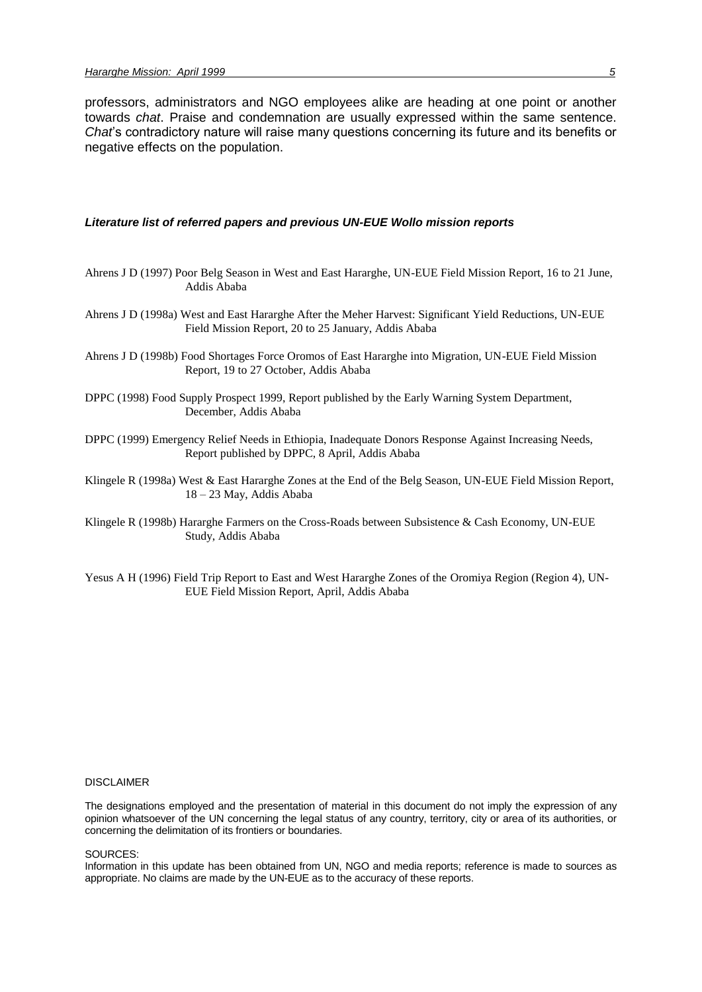professors, administrators and NGO employees alike are heading at one point or another towards *chat*. Praise and condemnation are usually expressed within the same sentence. *Chat*'s contradictory nature will raise many questions concerning its future and its benefits or negative effects on the population.

#### *Literature list of referred papers and previous UN-EUE Wollo mission reports*

- Ahrens J D (1997) Poor Belg Season in West and East Hararghe, UN-EUE Field Mission Report, 16 to 21 June, Addis Ababa
- Ahrens J D (1998a) West and East Hararghe After the Meher Harvest: Significant Yield Reductions, UN-EUE Field Mission Report, 20 to 25 January, Addis Ababa
- Ahrens J D (1998b) Food Shortages Force Oromos of East Hararghe into Migration, UN-EUE Field Mission Report, 19 to 27 October, Addis Ababa
- DPPC (1998) Food Supply Prospect 1999, Report published by the Early Warning System Department, December, Addis Ababa
- DPPC (1999) Emergency Relief Needs in Ethiopia, Inadequate Donors Response Against Increasing Needs, Report published by DPPC, 8 April, Addis Ababa
- Klingele R (1998a) West & East Hararghe Zones at the End of the Belg Season, UN-EUE Field Mission Report, 18 – 23 May, Addis Ababa
- Klingele R (1998b) Hararghe Farmers on the Cross-Roads between Subsistence & Cash Economy, UN-EUE Study, Addis Ababa
- Yesus A H (1996) Field Trip Report to East and West Hararghe Zones of the Oromiya Region (Region 4), UN-EUE Field Mission Report, April, Addis Ababa

#### DISCLAIMER

The designations employed and the presentation of material in this document do not imply the expression of any opinion whatsoever of the UN concerning the legal status of any country, territory, city or area of its authorities, or concerning the delimitation of its frontiers or boundaries.

#### SOURCES:

Information in this update has been obtained from UN, NGO and media reports; reference is made to sources as appropriate. No claims are made by the UN-EUE as to the accuracy of these reports.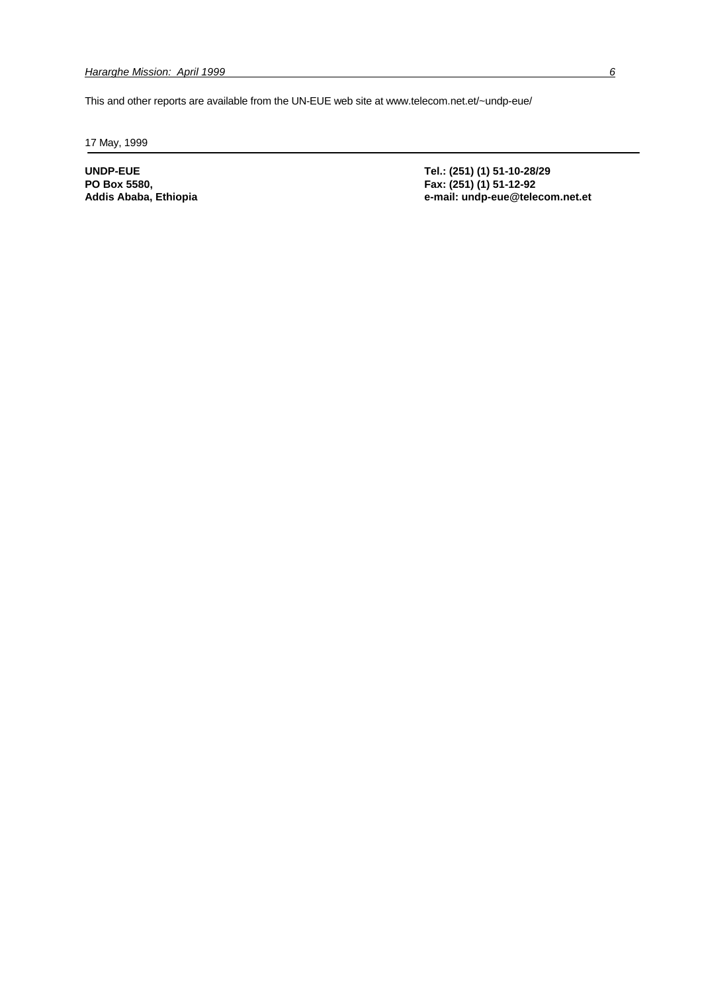This and other reports are available from the UN-EUE web site at www.telecom.net.et/~undp-eue/

17 May, 1999

**PO Box 5580, Fax: (251) (1) 51-12-92**

**UNDP-EUE Tel.: (251) (1) 51-10-28/29 Addis Ababa, Ethiopia e-mail: undp-eue@telecom.net.et**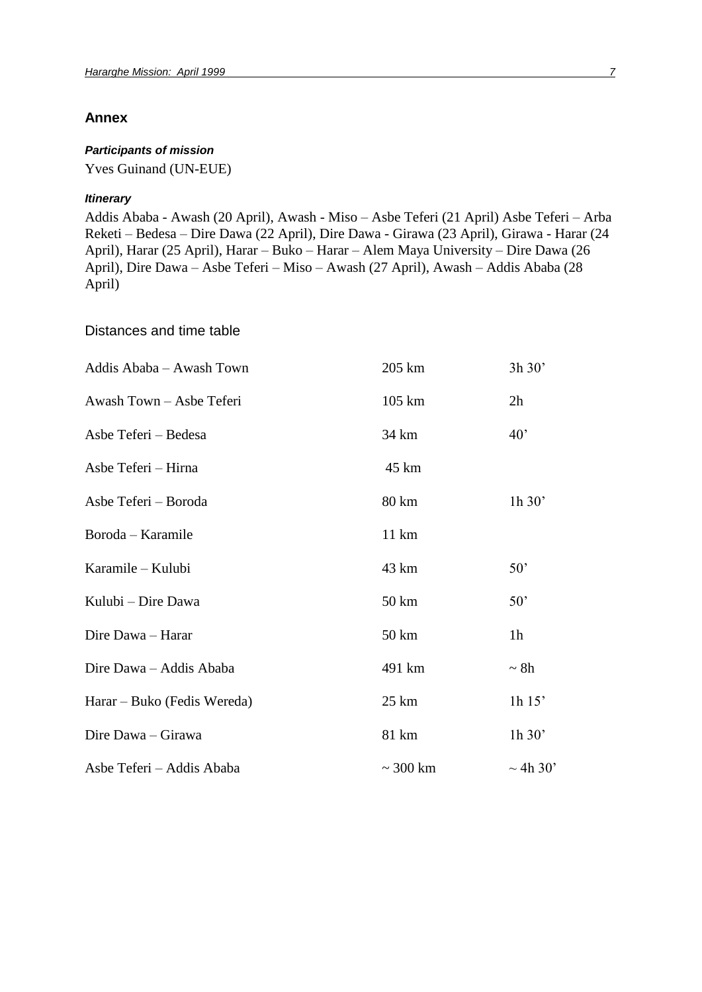### **Annex**

### *Participants of mission*

Yves Guinand (UN-EUE)

#### *Itinerary*

Addis Ababa - Awash (20 April), Awash - Miso – Asbe Teferi (21 April) Asbe Teferi – Arba Reketi – Bedesa – Dire Dawa (22 April), Dire Dawa - Girawa (23 April), Girawa - Harar (24 April), Harar (25 April), Harar – Buko – Harar – Alem Maya University – Dire Dawa (26 April), Dire Dawa – Asbe Teferi – Miso – Awash (27 April), Awash – Addis Ababa (28 April)

Distances and time table

| Addis Ababa - Awash Town    | 205 km           | 3h 30'         |
|-----------------------------|------------------|----------------|
| Awash Town - Asbe Teferi    | $105 \text{ km}$ | 2h             |
| Asbe Teferi - Bedesa        | 34 km            | $40^{\circ}$   |
| Asbe Teferi - Hirna         | 45 km            |                |
| Asbe Teferi - Boroda        | 80 km            | 1h 30'         |
| Boroda – Karamile           | $11 \text{ km}$  |                |
| Karamile - Kulubi           | 43 km            | 50'            |
| Kulubi - Dire Dawa          | 50 km            | 50'            |
| Dire Dawa - Harar           | 50 km            | 1 <sub>h</sub> |
| Dire Dawa - Addis Ababa     | 491 km           | $\sim 8h$      |
| Harar – Buko (Fedis Wereda) | 25 km            | $1h$ 15'       |
| Dire Dawa - Girawa          | 81 km            | 1h 30'         |
| Asbe Teferi - Addis Ababa   | $\sim$ 300 km    | $\sim$ 4h 30'  |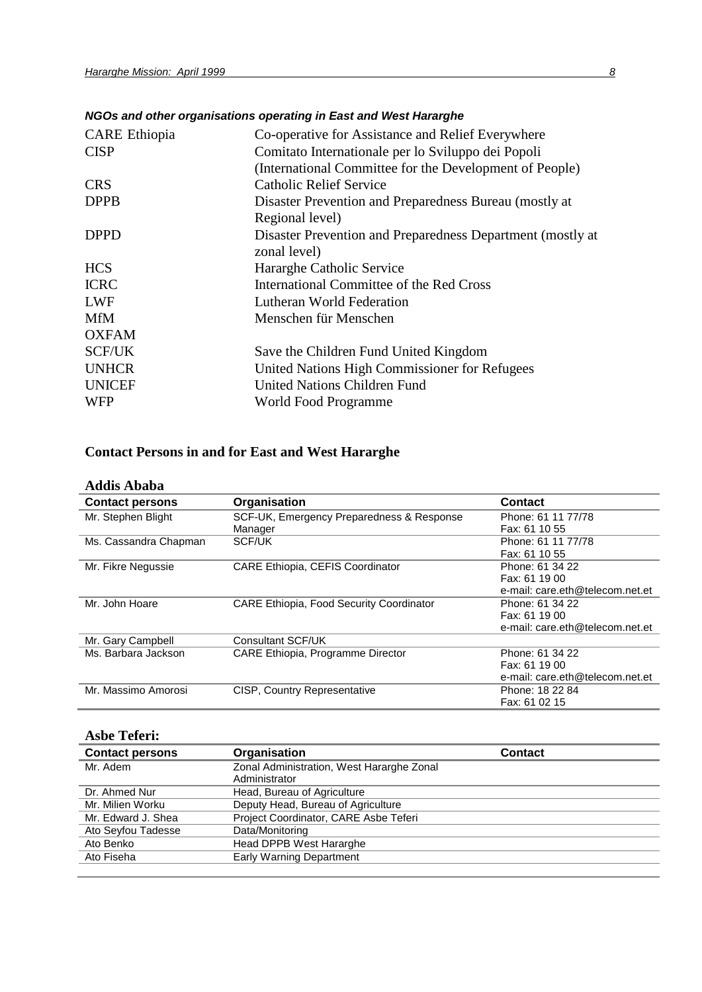|                      | NGOS and other organisations operating in East and West Hararghe |
|----------------------|------------------------------------------------------------------|
| <b>CARE</b> Ethiopia | Co-operative for Assistance and Relief Everywhere                |
| <b>CISP</b>          | Comitato Internationale per lo Sviluppo dei Popoli               |
|                      | (International Committee for the Development of People)          |
| <b>CRS</b>           | <b>Catholic Relief Service</b>                                   |
| <b>DPPB</b>          | Disaster Prevention and Preparedness Bureau (mostly at           |
|                      | Regional level)                                                  |
| <b>DPPD</b>          | Disaster Prevention and Preparedness Department (mostly at       |
|                      | zonal level)                                                     |
| <b>HCS</b>           | Hararghe Catholic Service                                        |
| <b>ICRC</b>          | International Committee of the Red Cross                         |
| <b>LWF</b>           | Lutheran World Federation                                        |
| <b>MfM</b>           | Menschen für Menschen                                            |
| <b>OXFAM</b>         |                                                                  |
| <b>SCF/UK</b>        | Save the Children Fund United Kingdom                            |
| <b>UNHCR</b>         | United Nations High Commissioner for Refugees                    |
| <b>UNICEF</b>        | <b>United Nations Children Fund</b>                              |
| <b>WFP</b>           | World Food Programme                                             |

## **Contact Persons in and for East and West Hararghe**

| <b>Addis Ababa</b>     |                                                 |                                 |
|------------------------|-------------------------------------------------|---------------------------------|
| <b>Contact persons</b> | Organisation                                    | <b>Contact</b>                  |
| Mr. Stephen Blight     | SCF-UK, Emergency Preparedness & Response       | Phone: 61 11 77/78              |
|                        | Manager                                         | Fax: 61 10 55                   |
| Ms. Cassandra Chapman  | SCF/UK                                          | Phone: 61 11 77/78              |
|                        |                                                 | Fax: 61 10 55                   |
| Mr. Fikre Negussie     | <b>CARE Ethiopia, CEFIS Coordinator</b>         | Phone: 61 34 22                 |
|                        |                                                 | Fax: 61 19 00                   |
|                        |                                                 | e-mail: care.eth@telecom.net.et |
| Mr. John Hoare         | <b>CARE Ethiopia, Food Security Coordinator</b> | Phone: 61 34 22                 |
|                        |                                                 | Fax: 61 19 00                   |
|                        |                                                 | e-mail: care.eth@telecom.net.et |
| Mr. Gary Campbell      | Consultant SCF/UK                               |                                 |
| Ms. Barbara Jackson    | CARE Ethiopia, Programme Director               | Phone: 61 34 22                 |
|                        |                                                 | Fax: 61 19 00                   |
|                        |                                                 | e-mail: care.eth@telecom.net.et |
| Mr. Massimo Amorosi    | <b>CISP, Country Representative</b>             | Phone: 18 22 84                 |
|                        |                                                 | Fax: 61 02 15                   |

### **Asbe Teferi:**

| Aspe Teferi:           |                                           |                |  |
|------------------------|-------------------------------------------|----------------|--|
| <b>Contact persons</b> | Organisation                              | <b>Contact</b> |  |
| Mr. Adem               | Zonal Administration, West Hararghe Zonal |                |  |
|                        | Administrator                             |                |  |
| Dr. Ahmed Nur          | Head, Bureau of Agriculture               |                |  |
| Mr. Milien Worku       | Deputy Head, Bureau of Agriculture        |                |  |
| Mr. Edward J. Shea     | Project Coordinator, CARE Asbe Teferi     |                |  |
| Ato Seyfou Tadesse     | Data/Monitoring                           |                |  |
| Ato Benko              | Head DPPB West Hararghe                   |                |  |
| Ato Fiseha             | Early Warning Department                  |                |  |
|                        |                                           |                |  |

## *NGOs and other organisations operating in East and West Hararghe*